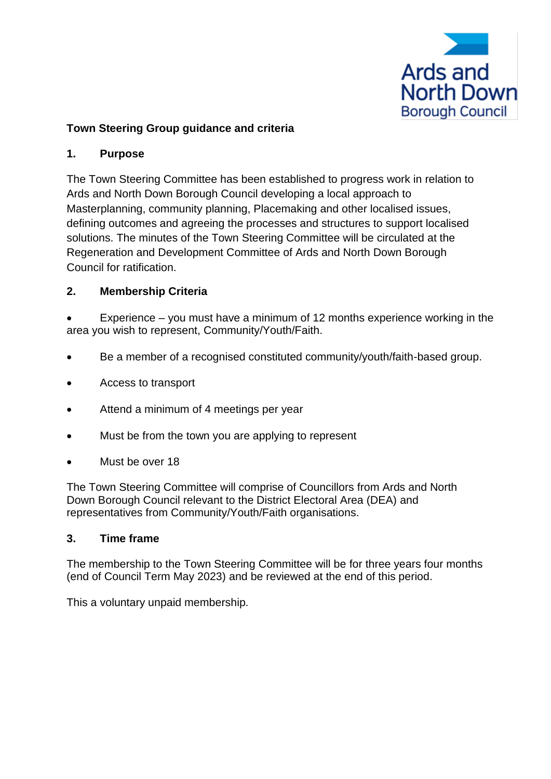

# **Town Steering Group guidance and criteria**

## **1. Purpose**

The Town Steering Committee has been established to progress work in relation to Ards and North Down Borough Council developing a local approach to Masterplanning, community planning, Placemaking and other localised issues, defining outcomes and agreeing the processes and structures to support localised solutions. The minutes of the Town Steering Committee will be circulated at the Regeneration and Development Committee of Ards and North Down Borough Council for ratification.

## **2. Membership Criteria**

Experience  $-$  you must have a minimum of 12 months experience working in the area you wish to represent, Community/Youth/Faith.

- Be a member of a recognised constituted community/youth/faith-based group.
- Access to transport
- Attend a minimum of 4 meetings per year
- Must be from the town you are applying to represent
- Must be over 18

The Town Steering Committee will comprise of Councillors from Ards and North Down Borough Council relevant to the District Electoral Area (DEA) and representatives from Community/Youth/Faith organisations.

#### **3. Time frame**

The membership to the Town Steering Committee will be for three years four months (end of Council Term May 2023) and be reviewed at the end of this period.

This a voluntary unpaid membership.